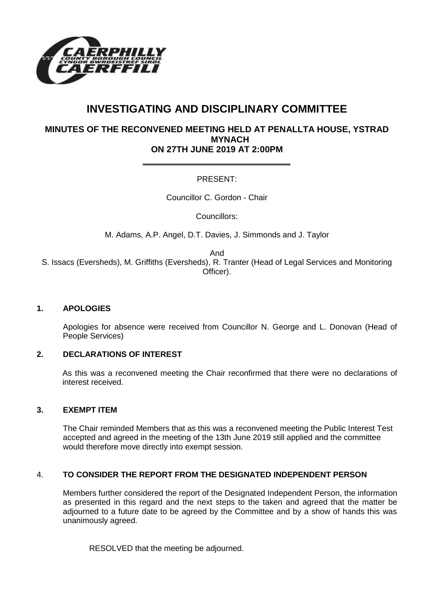

# **INVESTIGATING AND DISCIPLINARY COMMITTEE**

# **MINUTES OF THE RECONVENED MEETING HELD AT PENALLTA HOUSE, YSTRAD MYNACH ON 27TH JUNE 2019 AT 2:00PM**

# PRESENT:

Councillor C. Gordon - Chair

Councillors:

M. Adams, A.P. Angel, D.T. Davies, J. Simmonds and J. Taylor

And

S. Issacs (Eversheds), M. Griffiths (Eversheds), R. Tranter (Head of Legal Services and Monitoring Officer).

#### **1. APOLOGIES**

Apologies for absence were received from Councillor N. George and L. Donovan (Head of People Services)

## **2. DECLARATIONS OF INTEREST**

As this was a reconvened meeting the Chair reconfirmed that there were no declarations of interest received.

#### **3. EXEMPT ITEM**

The Chair reminded Members that as this was a reconvened meeting the Public Interest Test accepted and agreed in the meeting of the 13th June 2019 still applied and the committee would therefore move directly into exempt session.

## 4. **TO CONSIDER THE REPORT FROM THE DESIGNATED INDEPENDENT PERSON**

Members further considered the report of the Designated Independent Person, the information as presented in this regard and the next steps to the taken and agreed that the matter be adjourned to a future date to be agreed by the Committee and by a show of hands this was unanimously agreed.

RESOLVED that the meeting be adjourned.